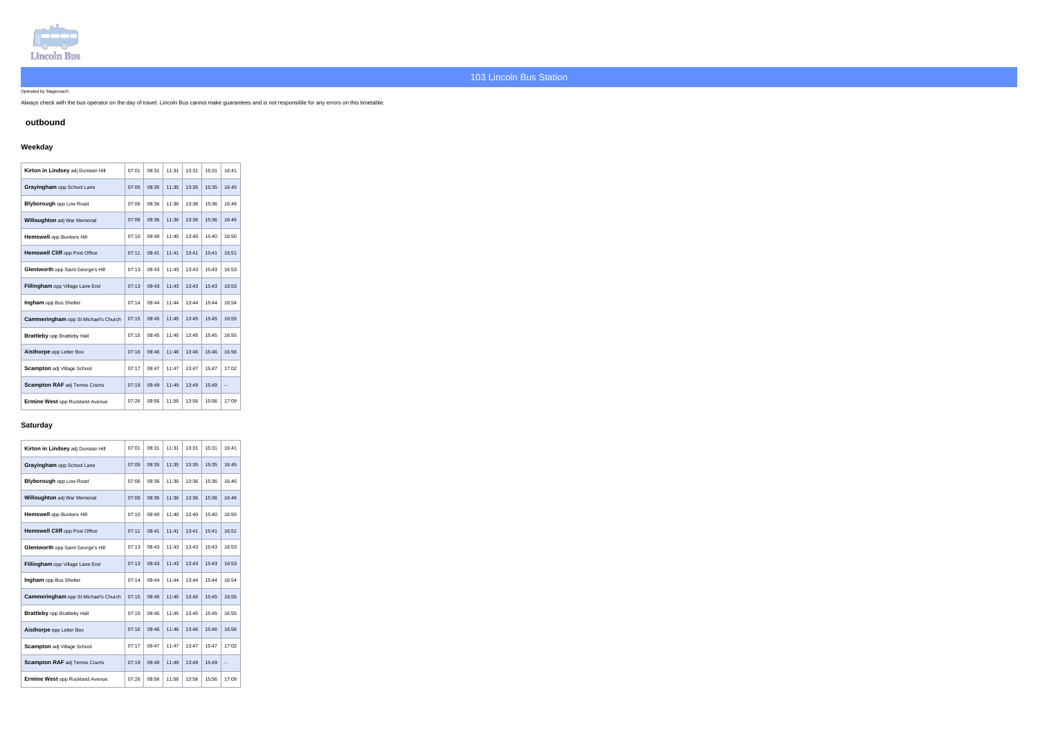

#### Operated by Stagecoach

Always check with the bus operator on the day of travel. Lincoln Bus cannot make guarantees and is not responsible for any errors on this timetable.

### **outbound**

## **Weekday**

| Kirton in Lindsey adj Dunstan Hill          | 07:01 | 09:31 | 11:31 | 13:31 | 15:31 | 16:41                    |
|---------------------------------------------|-------|-------|-------|-------|-------|--------------------------|
| Grayingham opp School Lane                  | 07:05 | 09:35 | 11:35 | 13:35 | 15:35 | 16:45                    |
| <b>Blyborough opp Low Road</b>              | 07:06 | 09:36 | 11:36 | 13:36 | 15:36 | 16:46                    |
| Willoughton adj War Memorial                | 07:06 | 09:36 | 11:36 | 13:36 | 15:36 | 16:46                    |
| Hemswell opp Bunkers Hill                   | 07:10 | 09:40 | 11:40 | 13:40 | 15:40 | 16:50                    |
| <b>Hemswell Cliff opp Post Office</b>       | 07:11 | 09:41 | 11:41 | 13:41 | 15:41 | 16:51                    |
| Glentworth opp Saint George's Hill          | 07:13 | 09:43 | 11:43 | 13:43 | 15:43 | 16:53                    |
| Fillingham opp Village Lane End             | 07:13 | 09:43 | 11:43 | 13:43 | 15:43 | 16:53                    |
| Ingham opp Bus Shelter                      | 07:14 | 09:44 | 11:44 | 13:44 | 15:44 | 16:54                    |
| <b>Cammeringham</b> opp St Michael's Church | 07:15 | 09:45 | 11:45 | 13:45 | 15:45 | 16:55                    |
| <b>Brattleby opp Brattleby Hall</b>         | 07:15 | 09:45 | 11:45 | 13:45 | 15:45 | 16:55                    |
| Aisthorpe opp Letter Box                    | 07:16 | 09:46 | 11:46 | 13:46 | 15:46 | 16:56                    |
| Scampton adj Village School                 | 07:17 | 09:47 | 11:47 | 13:47 | 15:47 | 17:02                    |
| <b>Scampton RAF adj Tennis Courts</b>       | 07:19 | 09:49 | 11:49 | 13:49 | 15:49 | $\overline{\phantom{a}}$ |
| <b>Ermine West opp Ruckland Avenue</b>      | 07:26 | 09:56 | 11:56 | 13:56 | 15:56 | 17:09                    |

#### **Saturday**

| Kirton in Lindsey adj Dunstan Hill          | 07:01 | 09:31 | 11:31 | 13:31 | 15:31 | 16:41 |
|---------------------------------------------|-------|-------|-------|-------|-------|-------|
| Grayingham opp School Lane                  | 07:05 | 09:35 | 11:35 | 13:35 | 15:35 | 16:45 |
| <b>Blyborough opp Low Road</b>              | 07:06 | 09:36 | 11:36 | 13:36 | 15:36 | 16:46 |
| <b>Willoughton adj War Memorial</b>         | 07:06 | 09:36 | 11:36 | 13:36 | 15:36 | 16:46 |
| Hemswell opp Bunkers Hill                   | 07:10 | 09:40 | 11:40 | 13:40 | 15:40 | 16:50 |
| <b>Hemswell Cliff opp Post Office</b>       | 07:11 | 09:41 | 11:41 | 13:41 | 15:41 | 16:51 |
| Glentworth opp Saint George's Hill          | 07:13 | 09:43 | 11:43 | 13:43 | 15:43 | 16:53 |
| Fillingham opp Village Lane End             | 07:13 | 09:43 | 11:43 | 13:43 | 15:43 | 16:53 |
| Ingham opp Bus Shelter                      | 07:14 | 09:44 | 11:44 | 13:44 | 15:44 | 16:54 |
| <b>Cammeringham</b> opp St Michael's Church | 07:15 | 09:45 | 11:45 | 13:45 | 15:45 | 16:55 |
| <b>Brattleby opp Brattleby Hall</b>         | 07:15 | 09:45 | 11:45 | 13:45 | 15:45 | 16:55 |
| Aisthorpe opp Letter Box                    | 07:16 | 09:46 | 11:46 | 13:46 | 15:46 | 16:56 |
| <b>Scampton adj Village School</b>          | 07:17 | 09:47 | 11:47 | 13:47 | 15:47 | 17:02 |
| <b>Scampton RAF adj Tennis Courts</b>       | 07:19 | 09:49 | 11:49 | 13:49 | 15:49 | --    |
| <b>Ermine West opp Ruckland Avenue</b>      | 07:26 | 09:56 | 11:56 | 13:56 | 15:56 | 17:09 |